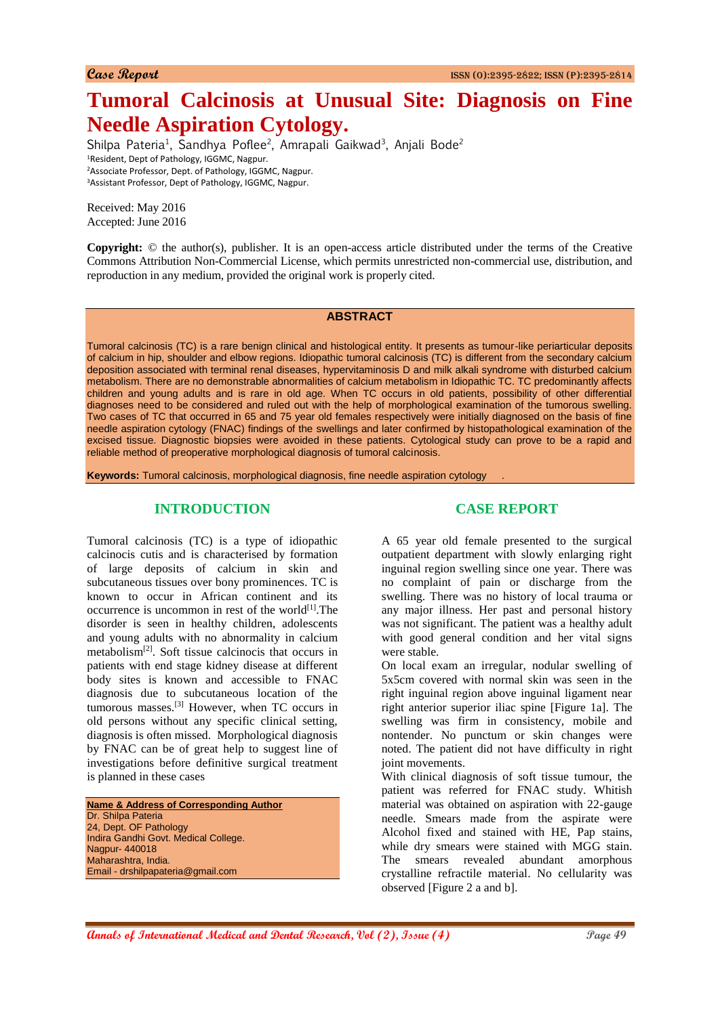# **Tumoral Calcinosis at Unusual Site: Diagnosis on Fine Needle Aspiration Cytology.**

Shilpa Pateria<sup>1</sup>, Sandhya Poflee<sup>2</sup>, Amrapali Gaikwad<sup>3</sup>, Anjali Bode<sup>2</sup> Resident, Dept of Pathology, IGGMC, Nagpur. Associate Professor, Dept. of Pathology, IGGMC, Nagpur. Assistant Professor, Dept of Pathology, IGGMC, Nagpur.

Received: May 2016 Accepted: June 2016

**Copyright:** © the author(s), publisher. It is an open-access article distributed under the terms of the Creative Commons Attribution Non-Commercial License, which permits unrestricted non-commercial use, distribution, and reproduction in any medium, provided the original work is properly cited.

#### **ABSTRACT**

Tumoral calcinosis (TC) is a rare benign clinical and histological entity. It presents as tumour-like periarticular deposits of calcium in hip, shoulder and elbow regions. Idiopathic tumoral calcinosis (TC) is different from the secondary calcium deposition associated with terminal renal diseases, hypervitaminosis D and milk alkali syndrome with disturbed calcium metabolism. There are no demonstrable abnormalities of calcium metabolism in Idiopathic TC. TC predominantly affects children and young adults and is rare in old age. When TC occurs in old patients, possibility of other differential diagnoses need to be considered and ruled out with the help of morphological examination of the tumorous swelling. Two cases of TC that occurred in 65 and 75 year old females respectively were initially diagnosed on the basis of fine needle aspiration cytology (FNAC) findings of the swellings and later confirmed by histopathological examination of the excised tissue. Diagnostic biopsies were avoided in these patients. Cytological study can prove to be a rapid and reliable method of preoperative morphological diagnosis of tumoral calcinosis.

**Keywords:** Tumoral calcinosis, morphological diagnosis, fine needle aspiration cytology .

# **INTRODUCTION**

Tumoral calcinosis (TC) is a type of idiopathic calcinocis cutis and is characterised by formation of large deposits of calcium in skin and subcutaneous tissues over bony prominences. TC is known to occur in African continent and its occurrence is uncommon in rest of the world $[1]$ . The disorder is seen in healthy children, adolescents and young adults with no abnormality in calcium metabolism[2]. Soft tissue calcinocis that occurs in patients with end stage kidney disease at different body sites is known and accessible to FNAC diagnosis due to subcutaneous location of the tumorous masses.[3] However, when TC occurs in old persons without any specific clinical setting, diagnosis is often missed. Morphological diagnosis by FNAC can be of great help to suggest line of investigations before definitive surgical treatment is planned in these cases

**Name & Address of Corresponding Author** Dr. Shilpa Pateria 24, Dept. OF Pathology Indira Gandhi Govt. Medical College. Nagpur- 440018 Maharashtra, India. Email - drshilpapateria@gmail.com

### **CASE REPORT**

A 65 year old female presented to the surgical outpatient department with slowly enlarging right inguinal region swelling since one year. There was no complaint of pain or discharge from the swelling. There was no history of local trauma or any major illness. Her past and personal history was not significant. The patient was a healthy adult with good general condition and her vital signs were stable.

On local exam an irregular, nodular swelling of 5x5cm covered with normal skin was seen in the right inguinal region above inguinal ligament near right anterior superior iliac spine [Figure 1a]. The swelling was firm in consistency, mobile and nontender. No punctum or skin changes were noted. The patient did not have difficulty in right joint movements.

With clinical diagnosis of soft tissue tumour, the patient was referred for FNAC study. Whitish material was obtained on aspiration with 22-gauge needle. Smears made from the aspirate were Alcohol fixed and stained with HE, Pap stains, while dry smears were stained with MGG stain. The smears revealed abundant amorphous crystalline refractile material. No cellularity was observed [Figure 2 a and b].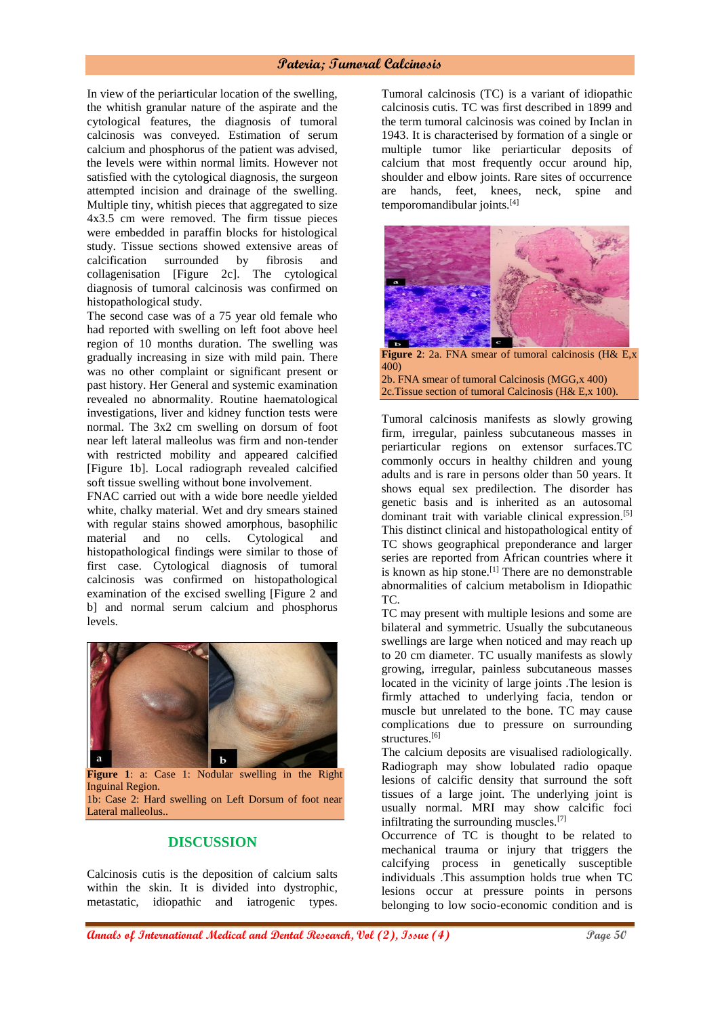#### **Pateria; Tumoral Calcinosis**

In view of the periarticular location of the swelling, the whitish granular nature of the aspirate and the cytological features, the diagnosis of tumoral calcinosis was conveyed. Estimation of serum calcium and phosphorus of the patient was advised, the levels were within normal limits. However not satisfied with the cytological diagnosis, the surgeon attempted incision and drainage of the swelling. Multiple tiny, whitish pieces that aggregated to size 4x3.5 cm were removed. The firm tissue pieces were embedded in paraffin blocks for histological study. Tissue sections showed extensive areas of calcification surrounded by fibrosis and collagenisation [Figure 2c]. The cytological diagnosis of tumoral calcinosis was confirmed on histopathological study.

The second case was of a 75 year old female who had reported with swelling on left foot above heel region of 10 months duration. The swelling was gradually increasing in size with mild pain. There was no other complaint or significant present or past history. Her General and systemic examination revealed no abnormality. Routine haematological investigations, liver and kidney function tests were normal. The 3x2 cm swelling on dorsum of foot near left lateral malleolus was firm and non-tender with restricted mobility and appeared calcified [Figure 1b]. Local radiograph revealed calcified soft tissue swelling without bone involvement.

FNAC carried out with a wide bore needle yielded white, chalky material. Wet and dry smears stained with regular stains showed amorphous, basophilic material and no cells. Cytological and histopathological findings were similar to those of first case. Cytological diagnosis of tumoral calcinosis was confirmed on histopathological examination of the excised swelling [Figure 2 and b] and normal serum calcium and phosphorus levels.



**Figure 1**: a: Case 1: Nodular swelling in the Right Inguinal Region. 1b: Case 2: Hard swelling on Left Dorsum of foot near Lateral malleolus..

# **DISCUSSION**

Calcinosis cutis is the deposition of calcium salts within the skin. It is divided into dystrophic, metastatic, idiopathic and iatrogenic types.

Tumoral calcinosis (TC) is a variant of idiopathic calcinosis cutis. TC was first described in 1899 and the term tumoral calcinosis was coined by Inclan in 1943. It is characterised by formation of a single or multiple tumor like periarticular deposits of calcium that most frequently occur around hip, shoulder and elbow joints. Rare sites of occurrence are hands, feet, knees, neck, spine and temporomandibular joints.[4]



**Figure 2**: 2a. FNA smear of tumoral calcinosis (H& E,x 400) 2b. FNA smear of tumoral Calcinosis (MGG,x 400) 2c.Tissue section of tumoral Calcinosis (H& E,x 100).

Tumoral calcinosis manifests as slowly growing firm, irregular, painless subcutaneous masses in periarticular regions on extensor surfaces.TC commonly occurs in healthy children and young adults and is rare in persons older than 50 years. It shows equal sex predilection. The disorder has genetic basis and is inherited as an autosomal dominant trait with variable clinical expression.<sup>[5]</sup> This distinct clinical and histopathological entity of TC shows geographical preponderance and larger series are reported from African countries where it is known as hip stone.<sup>[1]</sup> There are no demonstrable abnormalities of calcium metabolism in Idiopathic TC.

TC may present with multiple lesions and some are bilateral and symmetric. Usually the subcutaneous swellings are large when noticed and may reach up to 20 cm diameter. TC usually manifests as slowly growing, irregular, painless subcutaneous masses located in the vicinity of large joints .The lesion is firmly attached to underlying facia, tendon or muscle but unrelated to the bone. TC may cause complications due to pressure on surrounding structures.<sup>[6]</sup>

The calcium deposits are visualised radiologically. Radiograph may show lobulated radio opaque lesions of calcific density that surround the soft tissues of a large joint. The underlying joint is usually normal. MRI may show calcific foci infiltrating the surrounding muscles.[7]

Occurrence of TC is thought to be related to mechanical trauma or injury that triggers the calcifying process in genetically susceptible individuals .This assumption holds true when TC lesions occur at pressure points in persons belonging to low socio-economic condition and is